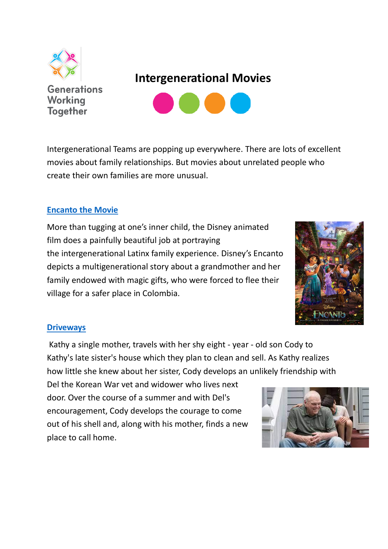

**Generations Working Together** 

# **Intergenerational Movies**



Intergenerational Teams are popping up everywhere. There are lots of excellent movies about family relationships. But movies about unrelated people who create their own families are more unusual.

## **[Encanto the Movie](https://youtu.be/tQwVKr8rCYw)**

More than tugging at one's inner child, the Disney animated film does a painfully beautiful job at portraying the intergenerational Latinx family experience. Disney's Encanto depicts a multigenerational story about a grandmother and her family endowed with magic gifts, who were forced to flee their village for a safer place in Colombia.



## **[Driveways](https://www.youtube.com/watch?v=0-j1p-U7nKw)**

Kathy a single mother, travels with her shy eight - year - old son Cody to Kathy's late sister's house which they plan to clean and sell. As Kathy realizes how little she knew about her sister, Cody develops an unlikely friendship with

Del the Korean War vet and widower who lives next door. Over the course of a summer and with Del's encouragement, Cody develops the courage to come out of his shell and, along with his mother, finds a new place to call home.

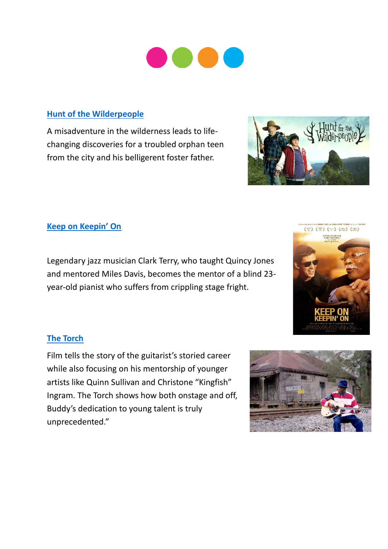## **[Hunt of the Wilderpeople](https://www.youtube.com/watch?v=dPaU4Gymt3E)**

A misadventure in the wilderness leads to lifechanging discoveries for a troubled orphan teen from the city and his belligerent foster father.



## **[Keep on Keepin' On](https://www.youtube.com/watch?v=kjR74w_GFWE)**

Legendary jazz musician Clark Terry, who taught Quincy Jones and mentored Miles Davis, becomes the mentor of a blind 23 year-old pianist who suffers from crippling stage fright.



## **[The Torch](https://www.youtube.com/watch?v=sCTJihkN2lI)**

Film tells the story of the guitarist's storied career while also focusing on his mentorship of younger artists like Quinn Sullivan and Christone "Kingfish" Ingram. The Torch shows how both onstage and off, Buddy's dedication to young talent is truly unprecedented."